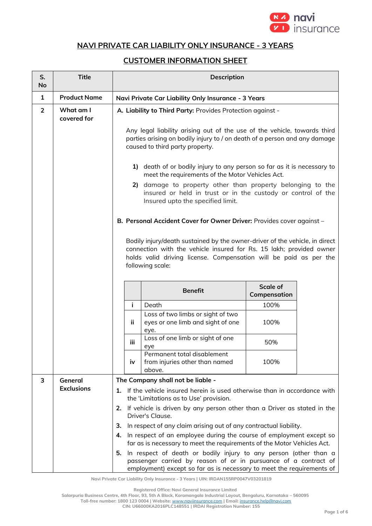

## **NAVI PRIVATE CAR LIABILITY ONLY INSURANCE - 3 YEARS**

## **CUSTOMER INFORMATION SHEET**

| S.<br>No       | <b>Title</b>                                 | Description                                                                                                                                                                                                                                 |                                                                                                                                                                                                              |                                 |  |
|----------------|----------------------------------------------|---------------------------------------------------------------------------------------------------------------------------------------------------------------------------------------------------------------------------------------------|--------------------------------------------------------------------------------------------------------------------------------------------------------------------------------------------------------------|---------------------------------|--|
| 1              | <b>Product Name</b>                          | Navi Private Car Liability Only Insurance - 3 Years                                                                                                                                                                                         |                                                                                                                                                                                                              |                                 |  |
| $\overline{2}$ | What am I<br>covered for                     | A. Liability to Third Party: Provides Protection against -                                                                                                                                                                                  |                                                                                                                                                                                                              |                                 |  |
|                |                                              | Any legal liability arising out of the use of the vehicle, towards third<br>parties arising on bodily injury to / on death of a person and any damage<br>caused to third party property.                                                    |                                                                                                                                                                                                              |                                 |  |
|                |                                              |                                                                                                                                                                                                                                             | 1) death of or bodily injury to any person so far as it is necessary to<br>meet the requirements of the Motor Vehicles Act.                                                                                  |                                 |  |
|                |                                              |                                                                                                                                                                                                                                             | 2) damage to property other than property belonging to the<br>insured or held in trust or in the custody or control of the<br>Insured upto the specified limit.                                              |                                 |  |
|                |                                              | B. Personal Accident Cover for Owner Driver: Provides cover against -                                                                                                                                                                       |                                                                                                                                                                                                              |                                 |  |
|                |                                              | Bodily injury/death sustained by the owner-driver of the vehicle, in direct<br>connection with the vehicle insured for Rs. 15 lakh; provided owner<br>holds valid driving license. Compensation will be paid as per the<br>following scale: |                                                                                                                                                                                                              |                                 |  |
|                |                                              |                                                                                                                                                                                                                                             | <b>Benefit</b>                                                                                                                                                                                               | <b>Scale of</b><br>Compensation |  |
|                |                                              | j.                                                                                                                                                                                                                                          | Death                                                                                                                                                                                                        | 100%                            |  |
|                |                                              | ii.                                                                                                                                                                                                                                         | Loss of two limbs or sight of two<br>eyes or one limb and sight of one<br>eye.                                                                                                                               | 100%                            |  |
|                |                                              | iii                                                                                                                                                                                                                                         | Loss of one limb or sight of one<br>eye                                                                                                                                                                      | 50%                             |  |
|                |                                              | iv                                                                                                                                                                                                                                          | Permanent total disablement<br>from injuries other than named<br>above.                                                                                                                                      | 100%                            |  |
| 3              | The Company shall not be liable -<br>General |                                                                                                                                                                                                                                             |                                                                                                                                                                                                              |                                 |  |
|                | <b>Exclusions</b>                            |                                                                                                                                                                                                                                             | 1. If the vehicle insured herein is used otherwise than in accordance with<br>the 'Limitations as to Use' provision.                                                                                         |                                 |  |
|                |                                              |                                                                                                                                                                                                                                             | 2. If vehicle is driven by any person other than a Driver as stated in the<br>Driver's Clause.                                                                                                               |                                 |  |
|                |                                              | з.                                                                                                                                                                                                                                          | In respect of any claim arising out of any contractual liability.                                                                                                                                            |                                 |  |
|                |                                              |                                                                                                                                                                                                                                             | 4. In respect of an employee during the course of employment except so<br>far as is necessary to meet the requirements of the Motor Vehicles Act.                                                            |                                 |  |
|                |                                              | 5.                                                                                                                                                                                                                                          | In respect of death or bodily injury to any person (other than a<br>passenger carried by reason of or in pursuance of a contract of<br>employment) except so far as is necessary to meet the requirements of |                                 |  |

**Navi Private Car Liability Only Insurance - 3 Years | UIN: IRDAN155RP0047V03201819**

**Registered Office: Navi General Insurance Limited**

**Salarpuria Business Centre, 4th Floor, 93, 5th A Block, Koramangala Industrial Layout, Bengaluru, Karnataka – 560095**

**Toll-free number: 1800 123 0004 | Website:** [www.naviinsurance.com](http://www.naviinsurance.com/) **| Email:** [insurance.help@navi.com](mailto:insurance.help@navi.com)

**CIN: U66000KA2016PLC148551 | IRDAI Registration Number: 155**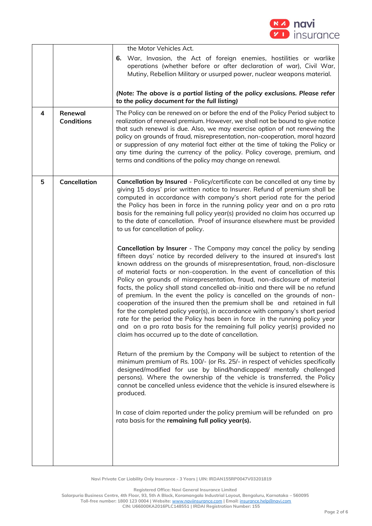

| 4 | Renewal<br><b>Conditions</b> | the Motor Vehicles Act.<br>War, Invasion, the Act of foreign enemies, hostilities or warlike<br>6.<br>operations (whether before or after declaration of war), Civil War,<br>Mutiny, Rebellion Military or usurped power, nuclear weapons material.<br>(Note: The above is a partial listing of the policy exclusions. Please refer<br>to the policy document for the full listing)<br>The Policy can be renewed on or before the end of the Policy Period subject to<br>realization of renewal premium. However, we shall not be bound to give notice<br>that such renewal is due. Also, we may exercise option of not renewing the<br>policy on grounds of fraud, misrepresentation, non-cooperation, moral hazard<br>or suppression of any material fact either at the time of taking the Policy or<br>any time during the currency of the policy. Policy coverage, premium, and<br>terms and conditions of the policy may change on renewal.                                                                                                                                                                                                                                                                                                                                                                                                                                                                                                                                                                                                                                                                                                                                                                                                                                                                                                                                                                                                                                                               |
|---|------------------------------|----------------------------------------------------------------------------------------------------------------------------------------------------------------------------------------------------------------------------------------------------------------------------------------------------------------------------------------------------------------------------------------------------------------------------------------------------------------------------------------------------------------------------------------------------------------------------------------------------------------------------------------------------------------------------------------------------------------------------------------------------------------------------------------------------------------------------------------------------------------------------------------------------------------------------------------------------------------------------------------------------------------------------------------------------------------------------------------------------------------------------------------------------------------------------------------------------------------------------------------------------------------------------------------------------------------------------------------------------------------------------------------------------------------------------------------------------------------------------------------------------------------------------------------------------------------------------------------------------------------------------------------------------------------------------------------------------------------------------------------------------------------------------------------------------------------------------------------------------------------------------------------------------------------------------------------------------------------------------------------------------------------|
| 5 | Cancellation                 | Cancellation by Insured - Policy/certificate can be cancelled at any time by<br>giving 15 days' prior written notice to Insurer. Refund of premium shall be<br>computed in accordance with company's short period rate for the period<br>the Policy has been in force in the running policy year and on a pro rata<br>basis for the remaining full policy year(s) provided no claim has occurred up<br>to the date of cancellation. Proof of insurance elsewhere must be provided<br>to us for cancellation of policy.<br>Cancellation by Insurer - The Company may cancel the policy by sending<br>fifteen days' notice by recorded delivery to the insured at insured's last<br>known address on the grounds of misrepresentation, fraud, non-disclosure<br>of material facts or non-cooperation. In the event of cancellation of this<br>Policy on grounds of misrepresentation, fraud, non-disclosure of material<br>facts, the policy shall stand cancelled ab-initio and there will be no refund<br>of premium. In the event the policy is cancelled on the grounds of non-<br>cooperation of the insured then the premium shall be and retained in full<br>for the completed policy year(s), in accordance with company's short period<br>rate for the period the Policy has been in force in the running policy year<br>and on a pro rata basis for the remaining full policy year(s) provided no<br>claim has occurred up to the date of cancellation.<br>Return of the premium by the Company will be subject to retention of the<br>minimum premium of Rs. 100/- (or Rs. 25/- in respect of vehicles specifically<br>designed/modified for use by blind/handicapped/ mentally challenged<br>persons). Where the ownership of the vehicle is transferred, the Policy<br>cannot be cancelled unless evidence that the vehicle is insured elsewhere is<br>produced.<br>In case of claim reported under the policy premium will be refunded on pro<br>rata basis for the remaining full policy year(s). |

**Registered Office: Navi General Insurance Limited**

**Salarpuria Business Centre, 4th Floor, 93, 5th A Block, Koramangala Industrial Layout, Bengaluru, Karnataka – 560095**

**Toll-free number: 1800 123 0004 | Website:** [www.naviinsurance.com](http://www.naviinsurance.com/) **| Email:** [insurance.help@navi.com](mailto:insurance.help@navi.com) **CIN: U66000KA2016PLC148551 | IRDAI Registration Number: 155**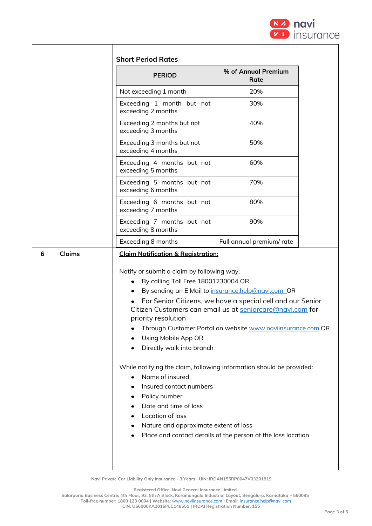

|   |               | <b>Short Period Rates</b>                                                                                                                                                                                                                                                                                                                                                                                                                                            |                                                                                                                                                                                                                                                                                                                     |  |
|---|---------------|----------------------------------------------------------------------------------------------------------------------------------------------------------------------------------------------------------------------------------------------------------------------------------------------------------------------------------------------------------------------------------------------------------------------------------------------------------------------|---------------------------------------------------------------------------------------------------------------------------------------------------------------------------------------------------------------------------------------------------------------------------------------------------------------------|--|
|   |               | <b>PERIOD</b>                                                                                                                                                                                                                                                                                                                                                                                                                                                        | % of Annual Premium<br>Rate                                                                                                                                                                                                                                                                                         |  |
|   |               | Not exceeding 1 month                                                                                                                                                                                                                                                                                                                                                                                                                                                | 20%                                                                                                                                                                                                                                                                                                                 |  |
|   |               | Exceeding 1 month but not<br>exceeding 2 months                                                                                                                                                                                                                                                                                                                                                                                                                      | 30%                                                                                                                                                                                                                                                                                                                 |  |
|   |               | Exceeding 2 months but not<br>exceeding 3 months                                                                                                                                                                                                                                                                                                                                                                                                                     | 40%                                                                                                                                                                                                                                                                                                                 |  |
|   |               | Exceeding 3 months but not<br>exceeding 4 months                                                                                                                                                                                                                                                                                                                                                                                                                     | 50%                                                                                                                                                                                                                                                                                                                 |  |
|   |               | Exceeding 4 months but not<br>exceeding 5 months                                                                                                                                                                                                                                                                                                                                                                                                                     | 60%                                                                                                                                                                                                                                                                                                                 |  |
|   |               | Exceeding 5 months but not<br>exceeding 6 months                                                                                                                                                                                                                                                                                                                                                                                                                     | 70%                                                                                                                                                                                                                                                                                                                 |  |
|   |               | Exceeding 6 months but not<br>exceeding 7 months                                                                                                                                                                                                                                                                                                                                                                                                                     | 80%                                                                                                                                                                                                                                                                                                                 |  |
|   |               | Exceeding 7 months but not<br>exceeding 8 months                                                                                                                                                                                                                                                                                                                                                                                                                     | 90%                                                                                                                                                                                                                                                                                                                 |  |
|   |               | Exceeding 8 months                                                                                                                                                                                                                                                                                                                                                                                                                                                   | Full annual premium/ rate                                                                                                                                                                                                                                                                                           |  |
| 6 | <b>Claims</b> | <b>Claim Notification &amp; Registration:</b><br>Notify or submit a claim by following way;<br>By calling Toll Free 18001230004 OR<br>$\bullet$<br>priority resolution<br>Using Mobile App OR<br>Directly walk into branch<br>While notifying the claim, following information should be provided:<br>Name of insured<br>Insured contact numbers<br>Policy number<br>Date and time of loss<br>Location of loss<br>Nature and approximate extent of loss<br>$\bullet$ | By sending an E Mail to insurance.help@navi.com_OR<br>For Senior Citizens, we have a special cell and our Senior<br>Citizen Customers can email us at seniorcare@navi.com for<br>Through Customer Portal on website <u>www.naviinsurance.com</u> OR<br>Place and contact details of the person at the loss location |  |

**Registered Office: Navi General Insurance Limited**

**Salarpuria Business Centre, 4th Floor, 93, 5th A Block, Koramangala Industrial Layout, Bengaluru, Karnataka – 560095**

**Toll-free number: 1800 123 0004 | Website:** [www.naviinsurance.com](http://www.naviinsurance.com/) **| Email:** [insurance.help@navi.com](mailto:insurance.help@navi.com)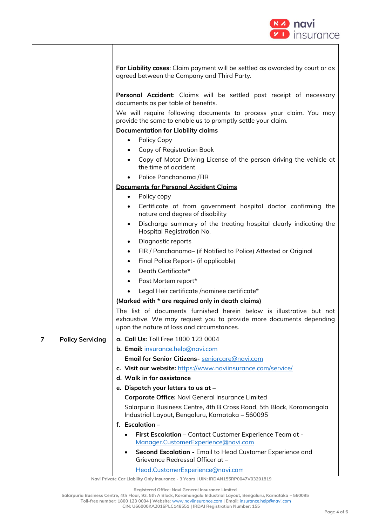

|                |                         | For Liability cases: Claim payment will be settled as awarded by court or as<br>agreed between the Company and Third Party.                                                              |  |  |
|----------------|-------------------------|------------------------------------------------------------------------------------------------------------------------------------------------------------------------------------------|--|--|
|                |                         | Personal Accident: Claims will be settled post receipt of necessary<br>documents as per table of benefits.                                                                               |  |  |
|                |                         | We will require following documents to process your claim. You may                                                                                                                       |  |  |
|                |                         | provide the same to enable us to promptly settle your claim.<br><b>Documentation for Liability claims</b>                                                                                |  |  |
|                |                         | Policy Copy<br>$\bullet$                                                                                                                                                                 |  |  |
|                |                         | Copy of Registration Book<br>$\bullet$                                                                                                                                                   |  |  |
|                |                         | Copy of Motor Driving License of the person driving the vehicle at<br>the time of accident                                                                                               |  |  |
|                |                         | Police Panchanama /FIR                                                                                                                                                                   |  |  |
|                |                         | <b>Documents for Personal Accident Claims</b>                                                                                                                                            |  |  |
|                |                         | Policy copy<br>$\bullet$                                                                                                                                                                 |  |  |
|                |                         | Certificate of from government hospital doctor confirming the<br>$\bullet$<br>nature and degree of disability                                                                            |  |  |
|                |                         | Discharge summary of the treating hospital clearly indicating the<br>٠<br>Hospital Registration No.                                                                                      |  |  |
|                |                         | Diagnostic reports<br>$\bullet$                                                                                                                                                          |  |  |
|                |                         | FIR / Panchanama- (if Notified to Police) Attested or Original<br>$\bullet$                                                                                                              |  |  |
|                |                         | Final Police Report- (if applicable)<br>٠                                                                                                                                                |  |  |
|                |                         | Death Certificate*<br>$\bullet$                                                                                                                                                          |  |  |
|                |                         | Post Mortem report*<br>$\bullet$                                                                                                                                                         |  |  |
|                |                         | Legal Heir certificate /nominee certificate*                                                                                                                                             |  |  |
|                |                         | (Marked with * are required only in death claims)                                                                                                                                        |  |  |
|                |                         | The list of documents furnished herein below is illustrative but not<br>exhaustive. We may request you to provide more documents depending<br>upon the nature of loss and circumstances. |  |  |
| $\overline{7}$ | <b>Policy Servicing</b> | a. Call Us: Toll Free 1800 123 0004                                                                                                                                                      |  |  |
|                |                         | b. Email: insurance.help@navi.com                                                                                                                                                        |  |  |
|                |                         | Email for Senior Citizens- seniorcare@navi.com                                                                                                                                           |  |  |
|                |                         | c. Visit our website: https://www.naviinsurance.com/service/                                                                                                                             |  |  |
|                |                         | d. Walk in for assistance                                                                                                                                                                |  |  |
|                |                         | e. Dispatch your letters to us at -                                                                                                                                                      |  |  |
|                |                         | Corporate Office: Navi General Insurance Limited                                                                                                                                         |  |  |
|                |                         | Salarpuria Business Centre, 4th B Cross Road, 5th Block, Koramangala<br>Industrial Layout, Bengaluru, Karnataka - 560095                                                                 |  |  |
|                |                         | f. Escalation $-$                                                                                                                                                                        |  |  |
|                |                         | First Escalation - Contact Customer Experience Team at -<br>Manager.CustomerExperience@navi.com                                                                                          |  |  |
|                |                         | Second Escalation - Email to Head Customer Experience and<br>Grievance Redressal Officer at -                                                                                            |  |  |
|                |                         | Head.CustomerExperience@navi.com                                                                                                                                                         |  |  |

**Registered Office: Navi General Insurance Limited**

**Salarpuria Business Centre, 4th Floor, 93, 5th A Block, Koramangala Industrial Layout, Bengaluru, Karnataka – 560095**

**Toll-free number: 1800 123 0004 | Website:** [www.naviinsurance.com](http://www.naviinsurance.com/) **| Email:** [insurance.help@navi.com](mailto:insurance.help@navi.com) **CIN: U66000KA2016PLC148551 | IRDAI Registration Number: 155**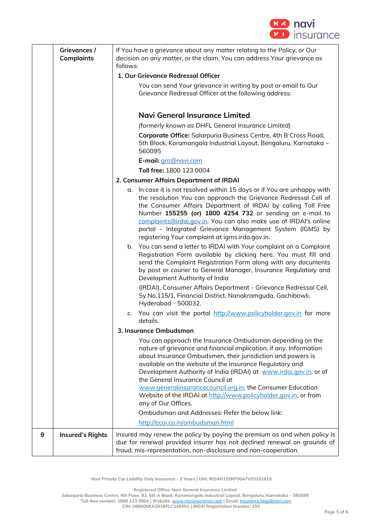

|   | Grievances /<br><b>Complaints</b> | If You have a grievance about any matter relating to the Policy, or Our<br>decision on any matter, or the claim, You can address Your grievance as<br>follows:<br>1. Our Grievance Redressal Officer<br>You can send Your grievance in writing by post or email to Our<br>Grievance Redressal Officer at the following address:<br><b>Navi General Insurance Limited</b><br>(formerly known as DHFL General Insurance Limited)<br>Corporate Office: Salarpuria Business Centre, 4th B Cross Road,<br>5th Block, Koramangala Industrial Layout, Bengaluru, Karnataka -<br>560095<br>E-mail: gro@navi.com |
|---|-----------------------------------|---------------------------------------------------------------------------------------------------------------------------------------------------------------------------------------------------------------------------------------------------------------------------------------------------------------------------------------------------------------------------------------------------------------------------------------------------------------------------------------------------------------------------------------------------------------------------------------------------------|
|   |                                   | 2. Consumer Affairs Department of IRDAI                                                                                                                                                                                                                                                                                                                                                                                                                                                                                                                                                                 |
|   |                                   | a. In case it is not resolved within 15 days or if You are unhappy with<br>the resolution You can approach the Grievance Redressal Cell of<br>the Consumer Affairs Department of IRDAI by calling Toll Free<br>Number 155255 (or) 1800 4254 732 or sending an e-mail to<br>complaints@irdai.gov.in. You can also make use of IRDAI's online<br>portal - Integrated Grievance Management System (IGMS) by<br>registering Your complaint at igms.irda.gov.in.                                                                                                                                             |
|   |                                   | b. You can send a letter to IRDAI with Your complaint on a Complaint<br>Registration Form available by clicking here. You must fill and<br>send the Complaint Registration Form along with any documents<br>by post or courier to General Manager, Insurance Regulatory and<br>Development Authority of India                                                                                                                                                                                                                                                                                           |
|   |                                   | (IRDAI), Consumer Affairs Department - Grievance Redressal Cell,<br>Sy.No.115/1, Financial District, Nanakramguda, Gachibowli,<br>Hyderabad - 500032.                                                                                                                                                                                                                                                                                                                                                                                                                                                   |
|   |                                   | You can visit the portal http://www.policyholder.gov.in for more<br>c.<br>details.                                                                                                                                                                                                                                                                                                                                                                                                                                                                                                                      |
|   |                                   | 3. Insurance Ombudsman                                                                                                                                                                                                                                                                                                                                                                                                                                                                                                                                                                                  |
|   |                                   | You can approach the Insurance Ombudsman depending on the<br>nature of grievance and financial implication, if any. Information<br>about Insurance Ombudsmen, their jurisdiction and powers is<br>available on the website of the Insurance Regulatory and<br>Development Authority of India (IRDAI) at www.irdai.gov.in, or of<br>the General Insurance Council at                                                                                                                                                                                                                                     |
|   |                                   | www.generalinsurancecouncil.org.in, the Consumer Education<br>Website of the IRDAI at http://www.policyholder.gov.in, or from<br>any of Our Offices.                                                                                                                                                                                                                                                                                                                                                                                                                                                    |
|   |                                   | Ombudsman and Addresses: Refer the below link:                                                                                                                                                                                                                                                                                                                                                                                                                                                                                                                                                          |
|   |                                   | http://ecoi.co.in/ombudsman.html                                                                                                                                                                                                                                                                                                                                                                                                                                                                                                                                                                        |
| 9 | <b>Insured's Rights</b>           | Insured may renew the policy by paying the premium as and when policy is<br>due for renewal provided insurer has not declined renewal on grounds of<br>fraud, mis-representation, non-disclosure and non-cooperation.                                                                                                                                                                                                                                                                                                                                                                                   |

**Registered Office: Navi General Insurance Limited**

**Salarpuria Business Centre, 4th Floor, 93, 5th A Block, Koramangala Industrial Layout, Bengaluru, Karnataka – 560095**

**Toll-free number: 1800 123 0004 | Website:** [www.naviinsurance.com](http://www.naviinsurance.com/) **| Email:** [insurance.help@navi.com](mailto:insurance.help@navi.com) **CIN: U66000KA2016PLC148551 | IRDAI Registration Number: 155**